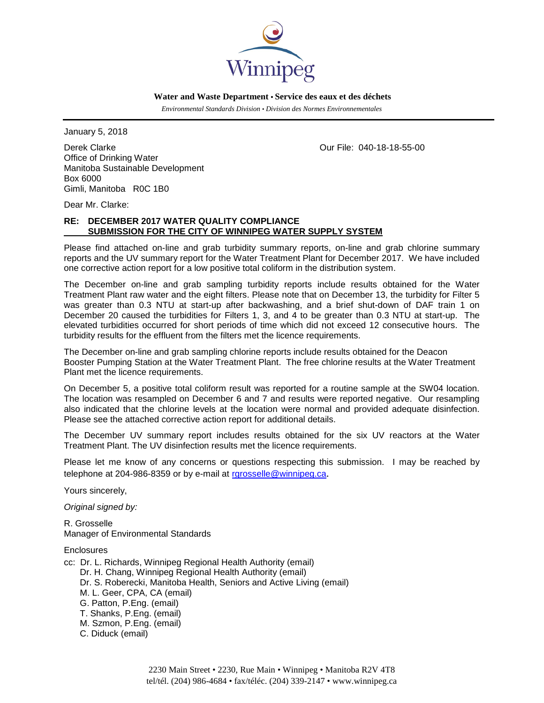

 **Water and Waste Department • Service des eaux et des déchets**

 *Environmental Standards Division • Division des Normes Environnementales*

January 5, 2018

Derek Clarke Our File: 040-18-18-55-00 Office of Drinking Water Manitoba Sustainable Development Box 6000 Gimli, Manitoba R0C 1B0

Dear Mr. Clarke:

# **RE: DECEMBER 2017 WATER QUALITY COMPLIANCE SUBMISSION FOR THE CITY OF WINNIPEG WATER SUPPLY SYSTEM**

Please find attached on-line and grab turbidity summary reports, on-line and grab chlorine summary reports and the UV summary report for the Water Treatment Plant for December 2017. We have included one corrective action report for a low positive total coliform in the distribution system.

The December on-line and grab sampling turbidity reports include results obtained for the Water Treatment Plant raw water and the eight filters. Please note that on December 13, the turbidity for Filter 5 was greater than 0.3 NTU at start-up after backwashing, and a brief shut-down of DAF train 1 on December 20 caused the turbidities for Filters 1, 3, and 4 to be greater than 0.3 NTU at start-up. The elevated turbidities occurred for short periods of time which did not exceed 12 consecutive hours. The turbidity results for the effluent from the filters met the licence requirements.

The December on-line and grab sampling chlorine reports include results obtained for the Deacon Booster Pumping Station at the Water Treatment Plant. The free chlorine results at the Water Treatment Plant met the licence requirements.

On December 5, a positive total coliform result was reported for a routine sample at the SW04 location. The location was resampled on December 6 and 7 and results were reported negative. Our resampling also indicated that the chlorine levels at the location were normal and provided adequate disinfection. Please see the attached corrective action report for additional details.

The December UV summary report includes results obtained for the six UV reactors at the Water Treatment Plant. The UV disinfection results met the licence requirements.

Please let me know of any concerns or questions respecting this submission. I may be reached by telephone at 204-986-8359 or by e-mail at [rgrosselle@winnipeg.ca](mailto:rgrosselle@winnipeg.ca).

Yours sincerely,

*Original signed by:*

R. Grosselle Manager of Environmental Standards

**Enclosures** 

- cc: Dr. L. Richards, Winnipeg Regional Health Authority (email)
	- Dr. H. Chang, Winnipeg Regional Health Authority (email)
	- Dr. S. Roberecki, Manitoba Health, Seniors and Active Living (email)
	- M. L. Geer, CPA, CA (email)
	- G. Patton, P.Eng. (email)
	- T. Shanks, P.Eng. (email)
	- M. Szmon, P.Eng. (email)
	- C. Diduck (email)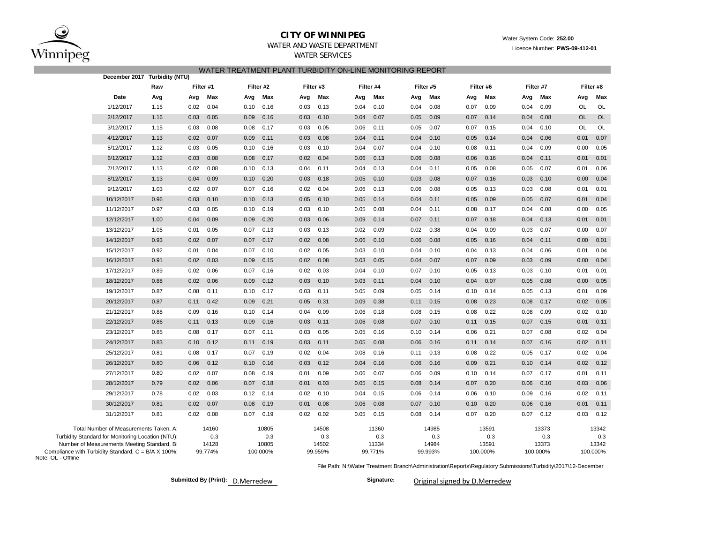

# **CITY OF WINNIPEG**

 Water System Code: **252.00** Licence Number: **PWS-09-412-01**

# WATER AND WASTE DEPARTMENTWATER SERVICES

WATER TREATMENT PLANT TURBIDITY ON-LINE MONITORING REPORT

| December 2017 Turbidity (NTU)                                                                                            |                  |                   |                  |                  |                  |                   |                   |                   |
|--------------------------------------------------------------------------------------------------------------------------|------------------|-------------------|------------------|------------------|------------------|-------------------|-------------------|-------------------|
| Raw                                                                                                                      | Filter #1        | Filter #2         | Filter #3        | Filter #4        | Filter #5        | Filter #6         | Filter #7         | Filter #8         |
| Date                                                                                                                     | Max              | Max               | Max              | Max              | Max              | Max               | Max               | Max               |
| Avg                                                                                                                      | Avg              | Avg               | Avg              | Avg              | Avg              | Avg               | Avg               | Avg               |
| 1/12/2017                                                                                                                | 0.04             | 0.10              | 0.13             | 0.10             | 0.08             | 0.09              | 0.09              | OL                |
| 1.15                                                                                                                     | 0.02             | 0.16              | 0.03             | 0.04             | 0.04             | 0.07              | 0.04              | OL                |
| 2/12/2017                                                                                                                | 0.05             | 0.09              | 0.10             | 0.04             | 0.05             | 0.14              | 0.04              | OL                |
| 1.16                                                                                                                     | 0.03             | 0.16              | 0.03             | 0.07             | 0.09             | 0.07              | 0.08              | <b>OL</b>         |
| 3/12/2017                                                                                                                | 0.08             | 0.08              | 0.05             | 0.06             | 0.07             | 0.15              | 0.10              | OL                |
| 1.15                                                                                                                     | 0.03             | 0.17              | 0.03             | 0.11             | 0.05             | 0.07              | 0.04              | OL                |
| 4/12/2017                                                                                                                | 0.02             | 0.09              | 0.08             | 0.04             | 0.04             | 0.14              | 0.04              | 0.07              |
| 1.13                                                                                                                     | 0.07             | 0.11              | 0.03             | 0.11             | 0.10             | 0.05              | 0.06              | 0.01              |
| 5/12/2017                                                                                                                | 0.05             | 0.10              | 0.10             | 0.07             | 0.04             | 0.11              | 0.09              | 0.00              |
| 1.12                                                                                                                     | 0.03             | 0.16              | 0.03             | 0.04             | 0.10             | 0.08              | 0.04              | 0.05              |
| 6/12/2017                                                                                                                | 0.08             | 0.08              | 0.04             | 0.06             | 0.06             | 0.06              | 0.04              | 0.01              |
| 1.12                                                                                                                     | 0.03             | 0.17              | 0.02             | 0.13             | 0.08             | 0.16              | 0.11              | 0.01              |
| 7/12/2017                                                                                                                | 0.08             | 0.13              | 0.04             | 0.04             | 0.11             | 0.08              | 0.07              | 0.01              |
| 1.13                                                                                                                     | 0.02             | 0.10              | 0.11             | 0.13             | 0.04             | 0.05              | 0.05              | 0.06              |
| 8/12/2017                                                                                                                | 0.09             | 0.10              | 0.03             | 0.05             | 0.03             | 0.07              | 0.03              | 0.00              |
| 1.13                                                                                                                     | 0.04             | 0.20              | 0.18             | 0.10             | 0.08             | 0.16              | 0.10              | 0.04              |
| 9/12/2017                                                                                                                | 0.02             | 0.16              | 0.04             | 0.13             | 0.06             | 0.05              | 0.08              | 0.01              |
| 1.03                                                                                                                     | 0.07             | 0.07              | 0.02             | 0.06             | 0.08             | 0.13              | 0.03              | 0.01              |
| 10/12/2017                                                                                                               | 0.03             | 0.10              | 0.05             | 0.05             | 0.04             | 0.05              | 0.07              | 0.01              |
| 0.96                                                                                                                     | 0.10             | 0.13              | 0.10             | 0.14             | 0.11             | 0.09              | 0.05              | 0.04              |
| 11/12/2017                                                                                                               | 0.03             | 0.19              | 0.03             | 0.08             | 0.04             | 0.08              | 0.08              | 0.00              |
| 0.97                                                                                                                     | 0.05             | 0.10              | 0.10             | 0.05             | 0.11             | 0.17              | 0.04              | 0.05              |
| 12/12/2017                                                                                                               | 0.09             | 0.20              | 0.03             | 0.09             | 0.07             | 0.07              | 0.13              | 0.01              |
| 1.00                                                                                                                     | 0.04             | 0.09              | 0.06             | 0.14             | 0.11             | 0.18              | 0.04              | 0.01              |
| 13/12/2017                                                                                                               | 0.05             | 0.13              | 0.03             | 0.09             | 0.02             | 0.04              | 0.07              | 0.00              |
| 1.05                                                                                                                     | 0.01             | 0.07              | 0.13             | 0.02             | 0.38             | 0.09              | 0.03              | 0.07              |
| 14/12/2017                                                                                                               | 0.02             | 0.07              | 0.08             | 0.06             | 0.06             | 0.05              | 0.04              | 0.00              |
| 0.93                                                                                                                     | 0.07             | 0.17              | 0.02             | 0.10             | 0.08             | 0.16              | 0.11              | 0.01              |
| 15/12/2017                                                                                                               | 0.04             | 0.10              | 0.02             | 0.10             | 0.04             | 0.04              | 0.06              | 0.01              |
| 0.92                                                                                                                     | 0.01             | 0.07              | 0.05             | 0.03             | 0.10             | 0.13              | 0.04              | 0.04              |
| 16/12/2017                                                                                                               | 0.02             | 0.09              | 0.08             | 0.03             | 0.04             | 0.07              | 0.09              | 0.00              |
| 0.91                                                                                                                     | 0.03             | 0.15              | 0.02             | 0.05             | 0.07             | 0.09              | 0.03              | 0.04              |
| 17/12/2017                                                                                                               | 0.02             | 0.07              | 0.03             | 0.04             | 0.07             | 0.13              | 0.03              | 0.01              |
| 0.89                                                                                                                     | 0.06             | 0.16              | 0.02             | 0.10             | 0.10             | 0.05              | 0.10              | 0.01              |
| 18/12/2017                                                                                                               | 0.02             | 0.09              | 0.10             | 0.03             | 0.04             | 0.04              | 0.08              | 0.00              |
| 0.88                                                                                                                     | 0.06             | 0.12              | 0.03             | 0.11             | 0.10             | 0.07              | 0.05              | 0.05              |
| 19/12/2017                                                                                                               | 0.08             | 0.10              | 0.11             | 0.05             | 0.05             | 0.10              | 0.13              | 0.09              |
| 0.87                                                                                                                     | 0.11             | 0.17              | 0.03             | 0.09             | 0.14             | 0.14              | 0.05              | 0.01              |
| 20/12/2017                                                                                                               | 0.42             | 0.21              | 0.31             | 0.38             | 0.11             | 0.08              | 0.17              | 0.02              |
| 0.87                                                                                                                     | 0.11             | 0.09              | 0.05             | 0.09             | 0.15             | 0.23              | 0.08              | 0.05              |
| 21/12/2017                                                                                                               | 0.09             | 0.10              | 0.09             | 0.18             | 0.08             | 0.22              | 0.09              | 0.10              |
| 0.88                                                                                                                     | 0.16             | 0.14              | 0.04             | 0.06             | 0.15             | 0.08              | 0.08              | 0.02              |
| 22/12/2017                                                                                                               | 0.13             | 0.16              | 0.03             | 0.08             | 0.07             | 0.15              | 0.07              | 0.01              |
| 0.86                                                                                                                     | 0.11             | 0.09              | 0.11             | 0.06             | 0.10             | 0.11              | 0.15              | 0.11              |
| 23/12/2017                                                                                                               | 0.08             | 0.07              | 0.03             | 0.16             | 0.10             | 0.21              | 0.08              | 0.02              |
| 0.85                                                                                                                     | 0.17             | 0.11              | 0.05             | 0.05             | 0.14             | 0.06              | 0.07              | 0.04              |
| 24/12/2017                                                                                                               | 0.12             | 0.19              | 0.11             | 0.05             | 0.06             | 0.11              | 0.16              | 0.02              |
| 0.83                                                                                                                     | 0.10             | 0.11              | 0.03             | 0.08             | 0.16             | 0.14              | 0.07              | 0.11              |
| 25/12/2017                                                                                                               | 0.08             | 0.07              | 0.04             | 0.08             | 0.13             | 0.22              | 0.05              | 0.04              |
| 0.81                                                                                                                     | 0.17             | 0.19              | 0.02             | 0.16             | 0.11             | 0.08              | 0.17              | 0.02              |
| 26/12/2017                                                                                                               | 0.06             | 0.16              | 0.12             | 0.04             | 0.06             | 0.21              | 0.14              | 0.02              |
| 0.80                                                                                                                     | 0.12             | 0.10              | 0.03             | 0.16             | 0.16             | 0.09              | 0.10              | 0.12              |
| 27/12/2017                                                                                                               | 0.02             | 0.08              | 0.01             | 0.07             | 0.06             | 0.10              | 0.17              | 0.01              |
| 0.80                                                                                                                     | 0.07             | 0.19              | 0.09             | 0.06             | 0.09             | 0.14              | 0.07              | 0.11              |
| 28/12/2017                                                                                                               | 0.02             | 0.07              | 0.01             | 0.05             | 0.08             | 0.07              | 0.10              | 0.03              |
| 0.79                                                                                                                     | 0.06             | 0.18              | 0.03             | 0.15             | 0.14             | 0.20              | 0.06              | 0.06              |
| 29/12/2017                                                                                                               | 0.02             | 0.12              | 0.02             | 0.15             | 0.06             | 0.06              | 0.16              | 0.02              |
| 0.78                                                                                                                     | 0.03             | 0.14              | 0.10             | 0.04             | 0.14             | 0.10              | 0.09              | 0.11              |
| 30/12/2017                                                                                                               | 0.02             | 0.08              | 0.01             | 0.06             | 0.07             | 0.10              | 0.16              | 0.01              |
| 0.81                                                                                                                     | 0.07             | 0.19              | 0.08             | 0.08             | 0.10             | 0.20              | 0.06              | 0.11              |
| 31/12/2017                                                                                                               | 0.02             | 0.07              | 0.02             | 0.15             | 0.08             | 0.07              | 0.12              | 0.03              |
| 0.81                                                                                                                     | 0.08             | 0.19              | 0.02             | 0.05             | 0.14             | 0.20              | 0.07              | 0.12              |
| Total Number of Measurements Taken, A:                                                                                   | 14160            | 10805             | 14508            | 11360            | 14985            | 13591             | 13373             | 13342             |
| Turbidity Standard for Monitoring Location (NTU):                                                                        | 0.3              | 0.3               | 0.3              | 0.3              | 0.3              | 0.3               | 0.3               | 0.3               |
| Number of Measurements Meeting Standard, B:<br>Compliance with Turbidity Standard, C = B/A X 100%:<br>Note: OL - Offline | 14128<br>99.774% | 10805<br>100.000% | 14502<br>99.959% | 11334<br>99.771% | 14984<br>99.993% | 13591<br>100.000% | 13373<br>100.000% | 13342<br>100.000% |

File Path: N:\Water Treatment Branch\Administration\Reports\Regulatory Submissions\Turbidity\2017\12-December

**Submitted By (Print): D.Merredew** 

Signature: Original signed by D.Merredew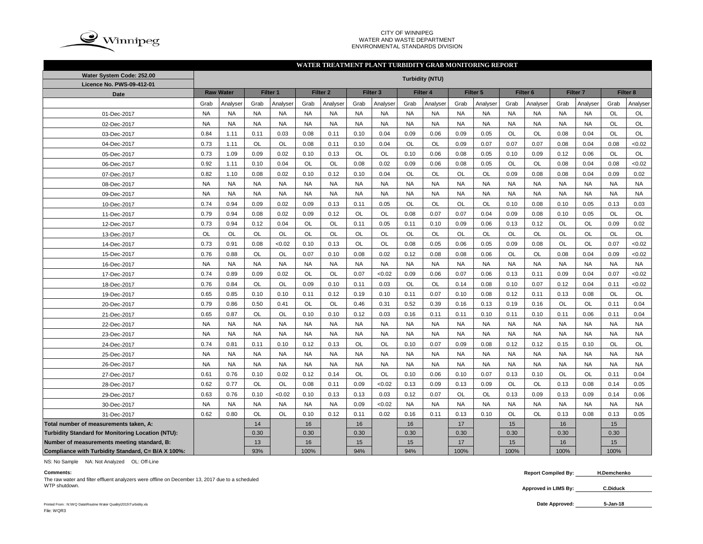

### CITY OF WINNIPEG WATER AND WASTE DEPARTMENT ENVIRONMENTAL STANDARDS DIVISION

## **WATER TREATMENT PLANT TURBIDITY GRAB MONITORING REPORT**

| Water System Code: 252.00                          | <b>Turbidity (NTU)</b> |                  |           |           |           |                     |           |                     |           |           |           |           |           |                     |           |                     |           |           |
|----------------------------------------------------|------------------------|------------------|-----------|-----------|-----------|---------------------|-----------|---------------------|-----------|-----------|-----------|-----------|-----------|---------------------|-----------|---------------------|-----------|-----------|
| Licence No. PWS-09-412-01                          |                        | <b>Raw Water</b> |           | Filter 1  |           | Filter <sub>2</sub> |           | Filter <sub>3</sub> |           | Filter 4  |           | Filter 5  |           | Filter <sub>6</sub> |           | Filter <sub>7</sub> |           | Filter 8  |
| Date                                               |                        |                  |           |           | Grab      |                     |           |                     |           |           |           |           |           |                     |           |                     | Grab      |           |
|                                                    | Grab                   | Analyser         | Grab      | Analyser  |           | Analyser            | Grab      | Analyser            | Grab      | Analyser  | Grab      | Analyser  | Grab      | Analyser            | Grab      | Analyser            |           | Analyser  |
| 01-Dec-2017                                        | <b>NA</b>              | <b>NA</b>        | <b>NA</b> | <b>NA</b> | <b>NA</b> | <b>NA</b>           | <b>NA</b> | <b>NA</b>           | <b>NA</b> | <b>NA</b> | <b>NA</b> | <b>NA</b> | <b>NA</b> | <b>NA</b>           | <b>NA</b> | <b>NA</b>           | <b>OL</b> | OL        |
| 02-Dec-2017                                        | <b>NA</b>              | <b>NA</b>        | <b>NA</b> | <b>NA</b> | <b>NA</b> | <b>NA</b>           | <b>NA</b> | <b>NA</b>           | <b>NA</b> | <b>NA</b> | <b>NA</b> | <b>NA</b> | <b>NA</b> | <b>NA</b>           | <b>NA</b> | <b>NA</b>           | <b>OL</b> | <b>OL</b> |
| 03-Dec-2017                                        | 0.84                   | 1.11             | 0.11      | 0.03      | 0.08      | 0.11                | 0.10      | 0.04                | 0.09      | 0.06      | 0.09      | 0.05      | <b>OL</b> | OL                  | 0.08      | 0.04                | <b>OL</b> | <b>OL</b> |
| 04-Dec-2017                                        | 0.73                   | 1.11             | OL        | <b>OL</b> | 0.08      | 0.11                | 0.10      | 0.04                | OL        | OL        | 0.09      | 0.07      | 0.07      | 0.07                | 0.08      | 0.04                | 0.08      | <0.02     |
| 05-Dec-2017                                        | 0.73                   | 1.09             | 0.09      | 0.02      | 0.10      | 0.13                | <b>OL</b> | OL                  | 0.10      | 0.06      | 0.08      | 0.05      | 0.10      | 0.09                | 0.12      | 0.06                | <b>OL</b> | OL        |
| 06-Dec-2017                                        | 0.92                   | 1.11             | 0.10      | 0.04      | OL        | <b>OL</b>           | 0.08      | 0.02                | 0.09      | 0.06      | 0.08      | 0.05      | OL        | OL                  | 0.08      | 0.04                | 0.08      | <0.02     |
| 07-Dec-2017                                        | 0.82                   | 1.10             | 0.08      | 0.02      | 0.10      | 0.12                | 0.10      | 0.04                | OL        | OL        | OL        | <b>OL</b> | 0.09      | 0.08                | 0.08      | 0.04                | 0.09      | 0.02      |
| 08-Dec-2017                                        | <b>NA</b>              | <b>NA</b>        | <b>NA</b> | <b>NA</b> | <b>NA</b> | <b>NA</b>           | <b>NA</b> | <b>NA</b>           | <b>NA</b> | <b>NA</b> | <b>NA</b> | <b>NA</b> | <b>NA</b> | <b>NA</b>           | <b>NA</b> | <b>NA</b>           | <b>NA</b> | <b>NA</b> |
| 09-Dec-2017                                        | <b>NA</b>              | <b>NA</b>        | <b>NA</b> | <b>NA</b> | <b>NA</b> | <b>NA</b>           | <b>NA</b> | <b>NA</b>           | <b>NA</b> | <b>NA</b> | <b>NA</b> | <b>NA</b> | <b>NA</b> | <b>NA</b>           | <b>NA</b> | <b>NA</b>           | <b>NA</b> | <b>NA</b> |
| 10-Dec-2017                                        | 0.74                   | 0.94             | 0.09      | 0.02      | 0.09      | 0.13                | 0.11      | 0.05                | OL        | OL        | OL        | OL        | 0.10      | 0.08                | 0.10      | 0.05                | 0.13      | 0.03      |
| 11-Dec-2017                                        | 0.79                   | 0.94             | 0.08      | 0.02      | 0.09      | 0.12                | <b>OL</b> | <b>OL</b>           | 0.08      | 0.07      | 0.07      | 0.04      | 0.09      | 0.08                | 0.10      | 0.05                | <b>OL</b> | <b>OL</b> |
| 12-Dec-2017                                        | 0.73                   | 0.94             | 0.12      | 0.04      | OL        | <b>OL</b>           | 0.11      | 0.05                | 0.11      | 0.10      | 0.09      | 0.06      | 0.13      | 0.12                | OL        | <b>OL</b>           | 0.09      | 0.02      |
| 13-Dec-2017                                        | OL                     | <b>OL</b>        | OL        | OL        | OL        | OL                  | OL        | <b>OL</b>           | OL        | OL        | OL        | <b>OL</b> | OL        | OL                  | OL        | OL                  | <b>OL</b> | OL        |
| 14-Dec-2017                                        | 0.73                   | 0.91             | 0.08      | < 0.02    | 0.10      | 0.13                | <b>OL</b> | <b>OL</b>           | 0.08      | 0.05      | 0.06      | 0.05      | 0.09      | 0.08                | OL        | <b>OL</b>           | 0.07      | <0.02     |
| 15-Dec-2017                                        | 0.76                   | 0.88             | OL        | OL        | 0.07      | 0.10                | 0.08      | 0.02                | 0.12      | 0.08      | 0.08      | 0.06      | OL        | OL                  | 0.08      | 0.04                | 0.09      | <0.02     |
| 16-Dec-2017                                        | <b>NA</b>              | <b>NA</b>        | <b>NA</b> | <b>NA</b> | <b>NA</b> | <b>NA</b>           | <b>NA</b> | <b>NA</b>           | <b>NA</b> | <b>NA</b> | <b>NA</b> | <b>NA</b> | <b>NA</b> | <b>NA</b>           | <b>NA</b> | <b>NA</b>           | <b>NA</b> | <b>NA</b> |
| 17-Dec-2017                                        | 0.74                   | 0.89             | 0.09      | 0.02      | OL        | <b>OL</b>           | 0.07      | < 0.02              | 0.09      | 0.06      | 0.07      | 0.06      | 0.13      | 0.11                | 0.09      | 0.04                | 0.07      | <0.02     |
| 18-Dec-2017                                        | 0.76                   | 0.84             | OL        | OL        | 0.09      | 0.10                | 0.11      | 0.03                | OL        | OL        | 0.14      | 0.08      | 0.10      | 0.07                | 0.12      | 0.04                | 0.11      | <0.02     |
| 19-Dec-2017                                        | 0.65                   | 0.85             | 0.10      | 0.10      | 0.11      | 0.12                | 0.19      | 0.10                | 0.11      | 0.07      | 0.10      | 0.08      | 0.12      | 0.11                | 0.13      | 0.08                | OL        | OL        |
| 20-Dec-2017                                        | 0.79                   | 0.86             | 0.50      | 0.41      | OL        | <b>OL</b>           | 0.46      | 0.31                | 0.52      | 0.39      | 0.16      | 0.13      | 0.19      | 0.16                | OL        | OL                  | 0.11      | 0.04      |
| 21-Dec-2017                                        | 0.65                   | 0.87             | OL        | OL        | 0.10      | 0.10                | 0.12      | 0.03                | 0.16      | 0.11      | 0.11      | 0.10      | 0.11      | 0.10                | 0.11      | 0.06                | 0.11      | 0.04      |
| 22-Dec-2017                                        | <b>NA</b>              | <b>NA</b>        | <b>NA</b> | <b>NA</b> | <b>NA</b> | <b>NA</b>           | <b>NA</b> | <b>NA</b>           | <b>NA</b> | <b>NA</b> | <b>NA</b> | <b>NA</b> | <b>NA</b> | <b>NA</b>           | <b>NA</b> | <b>NA</b>           | <b>NA</b> | <b>NA</b> |
| 23-Dec-2017                                        | <b>NA</b>              | <b>NA</b>        | <b>NA</b> | <b>NA</b> | <b>NA</b> | <b>NA</b>           | <b>NA</b> | <b>NA</b>           | <b>NA</b> | <b>NA</b> | <b>NA</b> | <b>NA</b> | <b>NA</b> | <b>NA</b>           | <b>NA</b> | <b>NA</b>           | <b>NA</b> | <b>NA</b> |
| 24-Dec-2017                                        | 0.74                   | 0.81             | 0.11      | 0.10      | 0.12      | 0.13                | <b>OL</b> | <b>OL</b>           | 0.10      | 0.07      | 0.09      | 0.08      | 0.12      | 0.12                | 0.15      | 0.10                | <b>OL</b> | <b>OL</b> |
| 25-Dec-2017                                        | <b>NA</b>              | <b>NA</b>        | <b>NA</b> | <b>NA</b> | <b>NA</b> | <b>NA</b>           | <b>NA</b> | <b>NA</b>           | <b>NA</b> | <b>NA</b> | <b>NA</b> | <b>NA</b> | <b>NA</b> | <b>NA</b>           | <b>NA</b> | <b>NA</b>           | <b>NA</b> | <b>NA</b> |
| 26-Dec-2017                                        | <b>NA</b>              | <b>NA</b>        | <b>NA</b> | <b>NA</b> | <b>NA</b> | <b>NA</b>           | <b>NA</b> | <b>NA</b>           | <b>NA</b> | <b>NA</b> | <b>NA</b> | <b>NA</b> | <b>NA</b> | <b>NA</b>           | <b>NA</b> | <b>NA</b>           | <b>NA</b> | <b>NA</b> |
| 27-Dec-2017                                        | 0.61                   | 0.76             | 0.10      | 0.02      | 0.12      | 0.14                | OL        | OL                  | 0.10      | 0.06      | 0.10      | 0.07      | 0.13      | 0.10                | OL        | OL                  | 0.11      | 0.04      |
| 28-Dec-2017                                        | 0.62                   | 0.77             | OL        | <b>OL</b> | 0.08      | 0.11                | 0.09      | < 0.02              | 0.13      | 0.09      | 0.13      | 0.09      | <b>OL</b> | OL                  | 0.13      | 0.08                | 0.14      | 0.05      |
| 29-Dec-2017                                        | 0.63                   | 0.76             | 0.10      | <0.02     | 0.10      | 0.13                | 0.13      | 0.03                | 0.12      | 0.07      | <b>OL</b> | OL        | 0.13      | 0.09                | 0.13      | 0.09                | 0.14      | 0.06      |
| 30-Dec-2017                                        | <b>NA</b>              | <b>NA</b>        | <b>NA</b> | <b>NA</b> | <b>NA</b> | <b>NA</b>           | 0.09      | < 0.02              | <b>NA</b> | <b>NA</b> | <b>NA</b> | <b>NA</b> | <b>NA</b> | <b>NA</b>           | <b>NA</b> | <b>NA</b>           | <b>NA</b> | <b>NA</b> |
| 31-Dec-2017                                        | 0.62                   | 0.80             | OL        | OL        | 0.10      | 0.12                | 0.11      | 0.02                | 0.16      | 0.11      | 0.13      | 0.10      | OL        | OL                  | 0.13      | 0.08                | 0.13      | 0.05      |
| Total number of measurements taken, A:             |                        |                  | 14        |           | 16        |                     | 16        |                     | 16        |           | 17        |           | 15        |                     | 16        |                     | 15        |           |
| Turbidity Standard for Monitoring Location (NTU):  |                        |                  | 0.30      |           | 0.30      |                     | 0.30      |                     | 0.30      |           | 0.30      |           | 0.30      |                     | 0.30      |                     | 0.30      |           |
| Number of measurements meeting standard, B:        |                        |                  | 13        |           | 16        |                     | 15        |                     | 15        |           | 17        |           | 15        |                     | 16        |                     | 15        |           |
| Compliance with Turbidity Standard, C= B/A X 100%: |                        |                  | 93%       |           | 100%      |                     | 94%       |                     | 94%       |           | 100%      |           | 100%      |                     | 100%      |                     | 100%      |           |

NS: No Sample NA: Not Analyzed OL: Off-Line

**Approved in LIMS By:** WTP shutdown. **C.Diduck** The raw water and filter effluent analyzers were offline on December 13, 2017 due to a scheduled

**Comments: Report Compiled By: H.Demchenko**

Printed From : N:\WQ Data\Routine Water Quality\2015\Turbidity.xls **Date Approved:** File: WQR3

**5-Jan-18**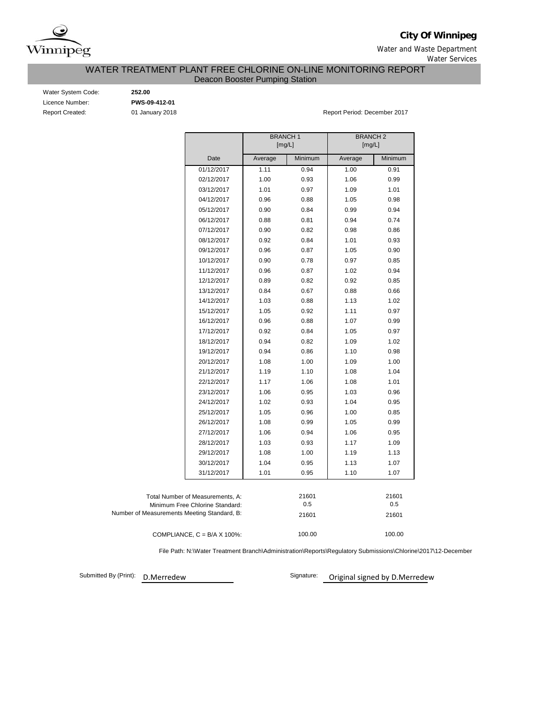

**City Of Winnipeg**

Water and Waste Department Water Services

WATER TREATMENT PLANT FREE CHLORINE ON-LINE MONITORING REPORT

Deacon Booster Pumping Station

Water System Code: **252.00** Licence Number: **PWS-09-412-01**

Report Created: 01 January 2018 Report Period: December 2017

|                                             | <b>BRANCH1</b><br>[mg/L] |         | <b>BRANCH2</b><br>[mg/L] |         |
|---------------------------------------------|--------------------------|---------|--------------------------|---------|
| Date                                        | Average                  | Minimum | Average                  | Minimum |
| 01/12/2017                                  | 1.11                     | 0.94    | 1.00                     | 0.91    |
| 02/12/2017                                  | 1.00                     | 0.93    | 1.06                     | 0.99    |
| 03/12/2017                                  | 1.01                     | 0.97    | 1.09                     | 1.01    |
| 04/12/2017                                  | 0.96                     | 0.88    | 1.05                     | 0.98    |
| 05/12/2017                                  | 0.90                     | 0.84    | 0.99                     | 0.94    |
| 06/12/2017                                  | 0.88                     | 0.81    | 0.94                     | 0.74    |
| 07/12/2017                                  | 0.90                     | 0.82    | 0.98                     | 0.86    |
| 08/12/2017                                  | 0.92                     | 0.84    | 1.01                     | 0.93    |
| 09/12/2017                                  | 0.96                     | 0.87    | 1.05                     | 0.90    |
| 10/12/2017                                  | 0.90                     | 0.78    | 0.97                     | 0.85    |
| 11/12/2017                                  | 0.96                     | 0.87    | 1.02                     | 0.94    |
| 12/12/2017                                  | 0.89                     | 0.82    | 0.92                     | 0.85    |
| 13/12/2017                                  | 0.84                     | 0.67    | 0.88                     | 0.66    |
| 14/12/2017                                  | 1.03                     | 0.88    | 1.13                     | 1.02    |
| 15/12/2017                                  | 1.05                     | 0.92    | 1.11                     | 0.97    |
| 16/12/2017                                  | 0.96                     | 0.88    | 1.07                     | 0.99    |
| 17/12/2017                                  | 0.92                     | 0.84    | 1.05                     | 0.97    |
| 18/12/2017                                  | 0.94                     | 0.82    | 1.09                     | 1.02    |
| 19/12/2017                                  | 0.94                     | 0.86    | 1.10                     | 0.98    |
| 20/12/2017                                  | 1.08                     | 1.00    | 1.09                     | 1.00    |
| 21/12/2017                                  | 1.19                     | 1.10    | 1.08                     | 1.04    |
| 22/12/2017                                  | 1.17                     | 1.06    | 1.08                     | 1.01    |
| 23/12/2017                                  | 1.06                     | 0.95    | 1.03                     | 0.96    |
| 24/12/2017                                  | 1.02                     | 0.93    | 1.04                     | 0.95    |
| 25/12/2017                                  | 1.05                     | 0.96    | 1.00                     | 0.85    |
| 26/12/2017                                  | 1.08                     | 0.99    | 1.05                     | 0.99    |
| 27/12/2017                                  | 1.06                     | 0.94    | 1.06                     | 0.95    |
| 28/12/2017                                  | 1.03                     | 0.93    | 1.17                     | 1.09    |
| 29/12/2017                                  | 1.08                     | 1.00    | 1.19                     | 1.13    |
| 30/12/2017                                  | 1.04                     | 0.95    | 1.13                     | 1.07    |
| 31/12/2017                                  | 1.01                     | 0.95    | 1.10                     | 1.07    |
| Total Number of Measurements, A:            |                          | 21601   |                          | 21601   |
| Minimum Free Chlorine Standard:             |                          | $0.5\,$ |                          | 0.5     |
| Number of Measurements Meeting Standard, B: |                          | 21601   |                          | 21601   |
| COMPLIANCE, $C = B/A \times 100\%$ :        |                          | 100.00  |                          | 100.00  |

File Path: N:\Water Treatment Branch\Administration\Reports\Regulatory Submissions\Chlorine\2017\12-December

Submitted By (Print): D.Merredew

Signature: Original signed by D.Merredew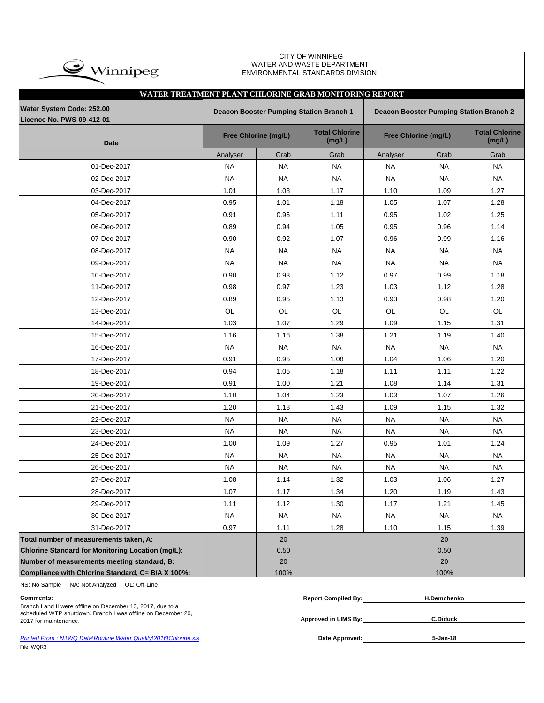| CITY OF WINNIPEG<br>WATER AND WASTE DEPARTMENT<br>$\clubsuit$ Winnipeg<br>ENVIRONMENTAL STANDARDS DIVISION |           |                                                                                           |           |           |                      |                                 |  |  |  |  |
|------------------------------------------------------------------------------------------------------------|-----------|-------------------------------------------------------------------------------------------|-----------|-----------|----------------------|---------------------------------|--|--|--|--|
| WATER TREATMENT PLANT CHLORINE GRAB MONITORING REPORT                                                      |           |                                                                                           |           |           |                      |                                 |  |  |  |  |
| Water System Code: 252.00                                                                                  |           |                                                                                           |           |           |                      |                                 |  |  |  |  |
| <b>Licence No. PWS-09-412-01</b>                                                                           |           | Deacon Booster Pumping Station Branch 1<br><b>Deacon Booster Pumping Station Branch 2</b> |           |           |                      |                                 |  |  |  |  |
| <b>Date</b>                                                                                                |           | <b>Total Chlorine</b><br>Free Chlorine (mg/L)                                             |           |           | Free Chlorine (mg/L) | <b>Total Chlorine</b><br>(mg/L) |  |  |  |  |
|                                                                                                            | Analyser  | Grab                                                                                      | Grab      | Analyser  | Grab                 | Grab                            |  |  |  |  |
| 01-Dec-2017                                                                                                | <b>NA</b> | <b>NA</b>                                                                                 | <b>NA</b> | NA        | NA                   | <b>NA</b>                       |  |  |  |  |
| 02-Dec-2017                                                                                                | <b>NA</b> | <b>NA</b>                                                                                 | <b>NA</b> | <b>NA</b> | NA                   | <b>NA</b>                       |  |  |  |  |
| 03-Dec-2017                                                                                                | 1.01      | 1.03                                                                                      | 1.17      | 1.10      | 1.09                 | 1.27                            |  |  |  |  |
| 04-Dec-2017                                                                                                | 0.95      | 1.01                                                                                      | 1.18      | 1.05      | 1.07                 | 1.28                            |  |  |  |  |
| 05-Dec-2017                                                                                                | 0.91      | 0.96                                                                                      | 1.11      | 0.95      | 1.02                 | 1.25                            |  |  |  |  |
| 06-Dec-2017                                                                                                | 0.89      | 0.94                                                                                      | 1.05      | 0.95      | 0.96                 | 1.14                            |  |  |  |  |
| 07-Dec-2017                                                                                                | 0.90      | 0.92                                                                                      | 1.07      | 0.96      | 0.99                 | 1.16                            |  |  |  |  |
| 08-Dec-2017                                                                                                | <b>NA</b> | <b>NA</b>                                                                                 | <b>NA</b> | <b>NA</b> | NA                   | <b>NA</b>                       |  |  |  |  |
| 09-Dec-2017                                                                                                | <b>NA</b> | <b>NA</b>                                                                                 | <b>NA</b> | <b>NA</b> | <b>NA</b>            | <b>NA</b>                       |  |  |  |  |
| 10-Dec-2017                                                                                                | 0.90      | 0.93                                                                                      | 1.12      | 0.97      | 0.99                 | 1.18                            |  |  |  |  |
| 11-Dec-2017                                                                                                | 0.98      | 0.97                                                                                      | 1.23      | 1.03      | 1.12                 | 1.28                            |  |  |  |  |
| 12-Dec-2017                                                                                                | 0.89      | 0.95                                                                                      | 1.13      | 0.93      | 0.98                 | 1.20                            |  |  |  |  |
| 13-Dec-2017                                                                                                | OL        | OL                                                                                        | <b>OL</b> | OL        | OL                   | OL                              |  |  |  |  |
| 14-Dec-2017                                                                                                | 1.03      | 1.07                                                                                      | 1.29      | 1.09      | 1.15                 | 1.31                            |  |  |  |  |
| 15-Dec-2017                                                                                                | 1.16      | 1.16                                                                                      | 1.38      | 1.21      | 1.19                 | 1.40                            |  |  |  |  |
| 16-Dec-2017                                                                                                | <b>NA</b> | NA.                                                                                       | <b>NA</b> | <b>NA</b> | NA.                  | NA.                             |  |  |  |  |
| 17-Dec-2017                                                                                                | 0.91      | 0.95                                                                                      | 1.08      | 1.04      | 1.06                 | 1.20                            |  |  |  |  |
| 18-Dec-2017                                                                                                | 0.94      | 1.05                                                                                      | 1.18      | 1.11      | 1.11                 | 1.22                            |  |  |  |  |
| 19-Dec-2017                                                                                                | 0.91      | 1.00                                                                                      | 1.21      | 1.08      | 1.14                 | 1.31                            |  |  |  |  |
| 20-Dec-2017                                                                                                | 1.10      | 1.04                                                                                      | 1.23      | 1.03      | 1.07                 | 1.26                            |  |  |  |  |
| 21-Dec-2017                                                                                                | 1.20      | 1.18                                                                                      | 1.43      | 1.09      | 1.15                 | 1.32                            |  |  |  |  |
| 22-Dec-2017                                                                                                | <b>NA</b> | <b>NA</b>                                                                                 | <b>NA</b> | <b>NA</b> | <b>NA</b>            | <b>NA</b>                       |  |  |  |  |
| 23-Dec-2017                                                                                                | <b>NA</b> | <b>NA</b>                                                                                 | <b>NA</b> | <b>NA</b> | NA                   | <b>NA</b>                       |  |  |  |  |
| 24-Dec-2017                                                                                                | 1.00      | 1.09                                                                                      | 1.27      | 0.95      | 1.01                 | 1.24                            |  |  |  |  |
| 25-Dec-2017                                                                                                | NA        | NA.                                                                                       | NA.       | NA.       | NA.                  | NA.                             |  |  |  |  |
| 26-Dec-2017                                                                                                | <b>NA</b> | <b>NA</b>                                                                                 | <b>NA</b> | <b>NA</b> | <b>NA</b>            | <b>NA</b>                       |  |  |  |  |
| 27-Dec-2017                                                                                                | 1.08      | 1.14                                                                                      | 1.32      | 1.03      | 1.06                 | 1.27                            |  |  |  |  |
| 28-Dec-2017                                                                                                | 1.07      | 1.17                                                                                      | 1.34      | 1.20      | 1.19                 | 1.43                            |  |  |  |  |
| 29-Dec-2017                                                                                                | 1.11      | 1.12                                                                                      | 1.30      | 1.17      | 1.21                 | 1.45                            |  |  |  |  |
| 30-Dec-2017                                                                                                | <b>NA</b> | <b>NA</b>                                                                                 | <b>NA</b> | <b>NA</b> | <b>NA</b>            | <b>NA</b>                       |  |  |  |  |
| 31-Dec-2017                                                                                                | 0.97      | 1.11                                                                                      | 1.28      | 1.10      | 1.15                 | 1.39                            |  |  |  |  |
| Total number of measurements taken, A:                                                                     |           | 20                                                                                        |           |           | 20                   |                                 |  |  |  |  |
| Chlorine Standard for Monitoring Location (mg/L):                                                          |           | 0.50                                                                                      |           |           | 0.50                 |                                 |  |  |  |  |
| Number of measurements meeting standard, B:                                                                |           | 20                                                                                        |           |           | 20                   |                                 |  |  |  |  |
| Compliance with Chlorine Standard, C= B/A X 100%:                                                          |           | 100%                                                                                      |           |           | 100%                 |                                 |  |  |  |  |

NS: No Sample NA: Not Analyzed OL: Off-Line

**Printed From : N:\WQ Data\Routine Water Quality\2016\Chlorine.xls** File: WQR3

| Comments:                                                                             | <b>Report Compiled By:</b> | H.Demchenko |  |
|---------------------------------------------------------------------------------------|----------------------------|-------------|--|
| Branch I and II were offline on December 13, 2017, due to a                           |                            |             |  |
| scheduled WTP shutdown. Branch I was offline on December 20,<br>2017 for maintenance. | Approved in LIMS By:       | C.Diduck    |  |
|                                                                                       |                            |             |  |
| Printed From: N:\WQ Data\Routine Water Quality\2016\Chlorine.xls                      | Date Approved:             | 5-Jan-18    |  |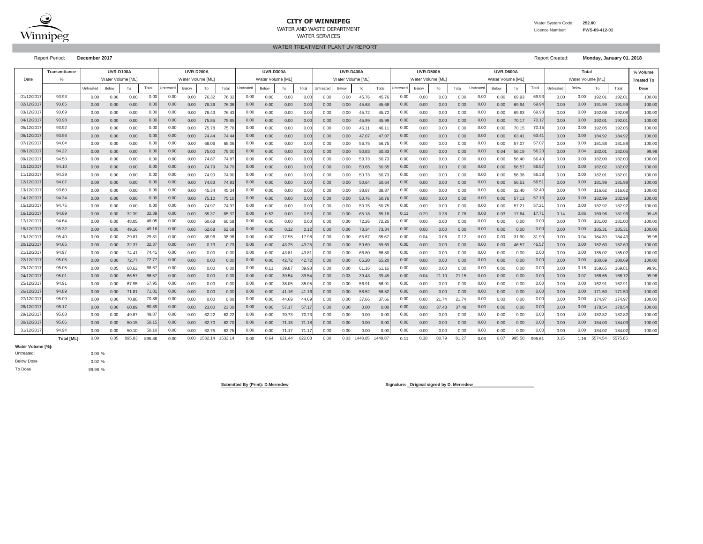

## **CITY OF WINNIPEG**WATER AND WASTE DEPARTMENT

Water System Code: **252.00**

 Licence Number:**PWS-09-412-01**

WATER TREATMENT PLANT UV REPORTWATER SERVICES

Report Period: **December 2017** Report Created: **Monday, January 01, 2018**

**% Volume Treated To**Untreated Below To Below To Below To Total Below To Total Puntreated Below To Total IUntreated Below To Total Below To Total Puntreated Below To Puntreated Below To Below To Below To Total Below To Total Below To Total Bel **Dose**0.00 0.00 0.00 0.00 76.32 76.32 0.00 0.00 0.00 0.00 0.00 45.76 45.76 0.00 0.00 0.00 0.00 69.93 0.00 192.01 192.01 100.000.00 0.00 0.00 0.00 76.36 76.36 0.00 0.00 0.00 0.00 0.00 45.68 45.68 0.00 0.00 0.00 0.00 69.94 0.00 191.99 191.99 100.00 $100.00$ 0.00 0.00 0.00 0.00 76.43 76.43 0.00 0.00 0.00 0.00 0.00 45.72 45.72 0.00 0.00 0.00 0.00 69.93 0.00 192.08 192.08 100.000.00 0.00 0.00 0.00 75.85 75.85 0.00 0.00 0.00 0.00 0.00 45.99 45.99 0.00 0.00 0.00 0.00 70.17 0.00 192.01 192.01 100.000.00 0.00 0.00 0.00 75.78 75.78 0.00 0.00 0.00 0.00 0.00 46.11 46.11 0.00 0.00 0.00 0.00 70.15 0.00 192.05 192.05 100.000.00 0.00 0.00 0.00 74.44 74.44 0.00 0.00 0.00 0.00 0.00 47.07 47.07 0.00 0.00 0.00 0.00 63.41 0.00 184.92 184.92 100.000.00 0.00 0.00 0.00 68.06 68.06 0.00 0.00 0.00 0.00 0.00 56.75 56.75 0.00 0.00 0.00 0.00 57.07 0.00 181.88 181.88 100.000.00 0.00 0.00 0.00 75.00 75.00 0.00 0.00 0.00 0.00 0.00 50.83 50.83 0.00 0.00 0.00 0.04 56.19 0.00 182.01 182.05 99.980.00 0.00 0.00 0.00 0.00 74.87 74.87 0.00 0.00 0.00 0.00 0.00 50.73 50.73 0.00 0.00 0.00 0.00 0.00 56.40 56.40 0.00 0.00 182.00 182.00 100.00 0.00 0.00 0.00 0.00 74.79 74.79 0.00 0.00 0.00 0.00 0.00 50.65 50.65 0.00 0.00 0.00 0.00 56.57 0.00 182.02 182.02 100.000.00 0.00 0.00 0.00 74.90 74.90 0.00 0.00 0.00 0.00 0.00 50.73 50.73 0.00 0.00 0.00 0.00 56.38 0.00 182.01 182.01 100.000.00 0.00 0.00 0.00 74.83 74.83 0.00 0.00 0.00 0.00 0.00 50.64 50.64 0.00 0.00 0.00 0.00 56.51 0.00 181.98 181.98 100.00100.00 0.00 0.00 0.00 0.00 0.00 45.34 45.34 0.00 0.00 0.00 0.00 0.00 38.87 38.87 0.00 0.00 0.00 0.00 0.00 32.40 32.40 0.00 0.00 116.62 116.62 100.00 0.00 0.00 0.00 0.00 0.00 75.10 75.10| 0.00 0.00 0.00 0.00 0.00 50.76 50.76| 0.00 0.00 0.00 0.00| 0.00 57.13 57.13| 0.00 0.00 182.99 182.99| 100.00 0.00 0.00 0.00 0.00 74.97 74.97 0.00 0.00 0.00 0.00 0.00 50.75 50.75 0.00 0.00 0.00 0.00 57.21 0.00 182.92 182.92 100.000.00 0.00 32.39 0.00 65.37 65.37 0.53 0.00 0.53 0.00 0.00 65.18 65.18 0.29 0.38 0.78 0.03 17.64 0.14 180.96 181.96 99.450.00 0.00 48.05 0.00 60.68 60.68 0.00 0.00 0.00 0.00 0.00 72.26 72.26 0.00 0.00 0.00 0.00 0.00 0.00 181.00 181.00 100.000.00 0.00 49.16 0.00 62.68 62.68 0.00 0.12 0.12 0.00 0.00 73.34 73.34 0.00 0.00 0.00 0.00 0.00 0.00 185.31 185.31 100.000.00 0.00 29.81 0.00 38.96 38.96 0.00 17.98 17.98 0.00 0.00 65.67 65.67 0.04 0.08 0.12 0.00 31.90 0.00 184.39 184.43 99.980.00 0.00 32.37 0.00 0.73 0.73 0.00 43.25 43.25 0.00 0.00 59.69 59.69 0.00 0.00 0.00 0.00 46.57 0.00 182.60 182.60 100.00100.00 0.00 0.00 74.41 74.41| 0.00 0.00 0.00 0.00| 0.00 43.81 43.81| 0.00 0.00 66.80 66.80| 0.00 0.00 0.00 0.00| 0.00 0.00| 0.00 0.00| 0.00 0.00| 0.00 185.02 185.02| 100.00 0.00 0.00 72.77 0.00 0.00 0.00 0.00 42.72 42.72 0.00 0.00 65.20 65.20 0.00 0.00 0.00 0.00 0.00 0.00 180.69 180.69 100.000.00 0.05 68.62 0.00 0.00 0.00 0.11 39.87 39.98 0.00 0.00 61.16 61.16 0.00 0.00 0.00 0.00 0.00 0.00 169.65 169.81 99.910.00 0.00 66.57 0.00 0.00 0.00 0.00 39.54 39.54 0.00 0.03 39.43 39.45 0.04 21.10 21.15 0.00 0.00 0.00 166.65 166.72 99.960.00 0.00 67.95 0.00 0.00 0.00 0.00 38.05 38.05 0.00 0.00 56.91 56.91 0.00 0.00 0.00 0.00 0.00 0.00 162.91 162.91 100.000.00 0.00 71.81 0.00 0.00 0.00 0.00 41.16 41.16 0.00 0.00 58.52 58.52 0.00 0.00 0.00 0.00 0.00 0.00 171.50 171.50 100.00100.00 0.00 0.00 70.88 0.00 0.00 0.00 0.00 44.69 44.69 0.00 0.00 37.66 37.66 0.00 21.74 21.74 0.00 0.00 0.00 174.97 174.97 100.000.00 0.00 60.89 0.00 23.00 23.00 0.00 57.17 57.17 0.00 0.00 0.00 0.00 0.00 37.48 37.48 0.00 0.00 0.00 178.54 178.54 100.000.00 0.00 49.87 49.87| 0.00 0.00 62.22 62.22| 0.00 0.00 70.73 70.73| 0.00 0.00 0.00 0.00| 0.00 0.00| 0.00 0.00| 0.00 0.00| 0.00 0.00| 0.00 0.00| 0.00 182.82 182.82| 100.00 0.00 0.00 50.15 0.00 62.70 62.70 0.00 71.18 71.18 0.00 0.00 0.00 0.00 0.00 0.00 0.00 0.00 0.00 0.00 184.03 184.03 100.00100.00 0.00 0.00 50.10 50.10| 0.00 0.00 62.75 62.75| 0.00 7.017 71.17| 0.00 0.00 0.00 0.00| 0.00 0.00 0.00| 0.00 0.00 0.00 0.00 0.00 0.00 184.02 184.02 100.00 0.030.07 995.50 995.61 0.15 1.16 0.000.00 0.00 0.00 0.00 0.00 0.00 0.00 0.00 0.00 31/12/2017 94.94 50.10 0.00 0.00 0.00 0.00 0.00 0.00 30/12/2017 95.06 50.15 0.00 0.00 0.00 0.00 0.00 0.00 29/12/2017 95.03 49.87 0.00 0.00 0.00 0.00 0.00 0.00 28/12/2017 95.17 60.89 0.00 0.00 0.000.00 0.00 0.00 0.00 0.00 0.00 0.00 0.00 0.00 27/12/2017 95.09 70.88 0.00 0.00 0.00 0.00 0.00 0.00 26/12/2017 94.89 71.81 0.00 0.00 0.00 0.00 0.00 0.07 25/12/2017 94.91 67.95 0.00 0.00 0.00 0.00 0.00 0.00 24/12/2017 95.01 66.57 0.00 0.00 0.000.00 0.00 0.00 0.00 0.00 0.00 0.00 0.00 0.00 23/12/2017 95.05 68.67 0.00 0.00 0.00 0.00 0.00 0.16 22/12/2017 95.05 72.77 0.00 0.00 0.00 0.00 46.57 0.00 21/12/2017 94.97 74.41 0.00 0.00 0.00 0.00 0.00 0.00 20/12/2017 94.65 32.37 0.00 0.00 0.000.00 0.00 0.00 0.00 0.00 0.00 0.00 0.00 0.00 19/12/20177| 95.40 | 0.00 0.00 29.81 29.81| 0.00 0.00 38.96 38.96| 0.00 0.00 17.98 17.98| 0.00 0.00 65.67 65.67| 0.00 0.04 0.08 0.12| 0.00 0.00 31.90 31.90| 0.00 0.04 0.08 0.12| 0.00 0.00 31.90| 0.00 0.04 18/12/2017 95.32 49.16 0.00 0.00 0.11 0.03 17.71 0.86 17/12/2017 94.64 48.05 0.00 0.00 0.00 0.00 0.00 0.00 16/12/2017 94.69 32.39 0.00 0.00 0.00 0.00 57.13 0.00 15/12/20177| 94.75 | 0.00 0.00 0.00 0.00| 0.00 0.00 74.97 74.97| 0.00 0.00 0.00 0.00| 0.00 0.00 50.75 50.75| 0.00 0.00 0.00 0.00 0.00 0.00 57.21 57.21| 0.00 0.00 14/12/20177 94.34 | 0.00 0.00 0.00 0.00 0.00 0.00 0.00 0.00 0.00 0.00 56.51 0.00 13/12/2017 93.60 0.00 0.00 0.00 0.00 0.00 32.40 0.00 12/12/2017 94.07 0.00 0.00 0.00 0.00 0.00 56.57 0.00 11/12/20177| 94.39 | 0.00 0.00 0.00 0.00| 0.00 0.00 74.90 74.90| 0.00 0.00 0.00 0.00 0.00 0.00 50.73 50.73| 0.00 0.00 0.00 0.00 0.00 0.00 0.00 56.38 56.38| 0.00 0.00 10/12/2017 94.10 0.00 0.00 0.00 0.00 0.00 56.23 0.04 09/12/20177| 94.50 | 0.00 0.00 0.00 0.00| 0.00 0.00 74.87 74.87| 0.00 0.00 0.00 0.00 0.00 50.00 50.73 50.73| 0.00 0.00 0.00 0.00 0.00 0.00 0.00 56.40 56.40| 0.00 0.00 0.00 08/12/201771 94.22 I 0.00 0.00 0.00 0.00I 0.00 0.00 75.00 75.00I 0.00 0.00 0.00 63.41 0.00 07/12/20177| 94.04 | 0.00 0.00 0.00 0.00| 0.00 0.00 68.06 68.06| 0.00 0.00 0.00| 0.00 0.00 56.75 56.75| 0.00 0.00 0.00 0.00 0.00 0.00 57.07 57.07| 0.00 0.00 0.00 06/12/2017 93.96 0.00 0.00 0.00 0.00 0.00 70.17 0.00 05/12/2017 93.92 0.00 0.00 0.00 0.00 0.00 70.15 0.00 04/12/20177 93.98 | 0.00 0.00 0.00 0.00| 0.00 0.00 75.85 75.85| 0.00 0.00 0.00 69.94 0.00 03/12/20177| 93.69 | 0.00 0.00 0.00 0.00| 0.00 0.00 76.43 76.43| 0.00 0.00 0.00 0.00 0.00 0.00 45.72 45.72| 0.00 0.00 0.00 0.00 0.00 0.00 0.00 69.93 69.93| 0.00 0.00 02/12/2017 93.85 0.00 0.00 0.00 **Untreated** d Below To Total Untreated Below To Total Untreated Below 01/12/20177| 93.93 | 0.00 0.00 0.00 0.00| 0.00 0.00 76.32 76.32| 0.00 0.00 0.00 0.00| 0.00 0.00 45.76 45.76| 0.00 0.00 0.00 0.00 0.00 0.00 0.00 69.93 69.93| 0.00 0.00 Total**Untreated** Below To Total Untreated **UVR-D400A UVR-D500A UVR-D600A Total**Date $\%$ % | Water Volume [ML] | Water Volume [ML] | Water Volume [ML] | Water Volume [ML] | Water Volume [ML] | Water Volume [ML] | Water Volume [ML] **TransmittanceUVR-D100A UVR-D200A UVR-D300A**

0.00 0.05 895.83 0.00 1532.14 1532.14 0.64 621.44 622.08 0.00 0.03 1448.85 1448.87 0.38 80.79 81.27 0.07 995.50 0.15 5574.54 5575.85

### **Water Volume [%]:**

0.00 %0.02 %99.98 %To DoseBelow DoseUntreated:

**Total [ML]:** 0.00 0.05 895.83 <u>895.88 0.00</u> 0.00 1532.14 1532.14 0.00 0.64 621.44 622.08 0.00 0.03 1448.85 1448.87 <sub>0.11</sub>

Submitted By (Print): D.Merredew **Signature: Criginal signed by D. Merredew Signature: Criginal signed by D. Merredew**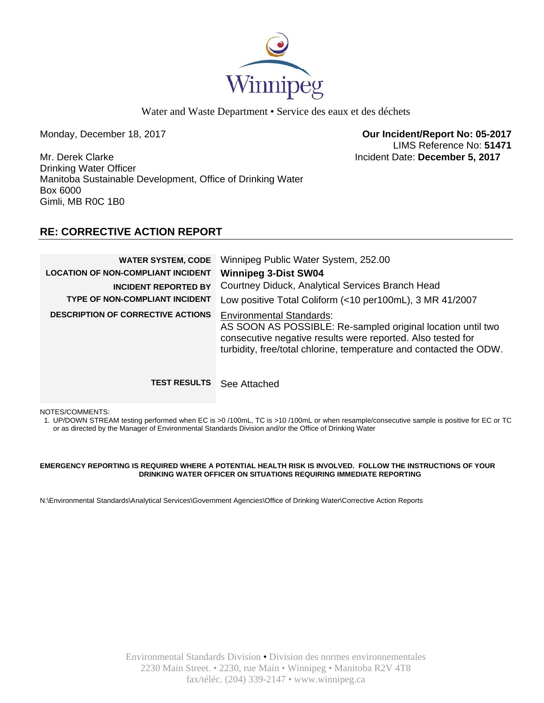

Water and Waste Department • Service des eaux et des déchets

Monday, December 18, 2017 **Our Incident/Report No: 05-2017**  LIMS Reference No: **51471**

Mr. Derek Clarke Incident Date: **December 5, 2017**  Drinking Water Officer Manitoba Sustainable Development, Office of Drinking Water Box 6000 Gimli, MB R0C 1B0

# **RE: CORRECTIVE ACTION REPORT**

| <b>WATER SYSTEM, CODE</b><br><b>LOCATION OF NON-COMPLIANT INCIDENT</b><br><b>INCIDENT REPORTED BY</b><br><b>TYPE OF NON-COMPLIANT INCIDENT</b><br><b>DESCRIPTION OF CORRECTIVE ACTIONS</b> | Winnipeg Public Water System, 252.00<br><b>Winnipeg 3-Dist SW04</b><br>Courtney Diduck, Analytical Services Branch Head<br>Low positive Total Coliform (<10 per100mL), 3 MR 41/2007<br><b>Environmental Standards:</b><br>AS SOON AS POSSIBLE: Re-sampled original location until two<br>consecutive negative results were reported. Also tested for<br>turbidity, free/total chlorine, temperature and contacted the ODW. |
|--------------------------------------------------------------------------------------------------------------------------------------------------------------------------------------------|----------------------------------------------------------------------------------------------------------------------------------------------------------------------------------------------------------------------------------------------------------------------------------------------------------------------------------------------------------------------------------------------------------------------------|
| <b>TEST RESULTS</b>                                                                                                                                                                        | See Attached                                                                                                                                                                                                                                                                                                                                                                                                               |

NOTES/COMMENTS:

1. UP/DOWN STREAM testing performed when EC is >0 /100mL, TC is >10 /100mL or when resample/consecutive sample is positive for EC or TC or as directed by the Manager of Environmental Standards Division and/or the Office of Drinking Water

## **EMERGENCY REPORTING IS REQUIRED WHERE A POTENTIAL HEALTH RISK IS INVOLVED. FOLLOW THE INSTRUCTIONS OF YOUR DRINKING WATER OFFICER ON SITUATIONS REQUIRING IMMEDIATE REPORTING**

N:\Environmental Standards\Analytical Services\Government Agencies\Office of Drinking Water\Corrective Action Reports